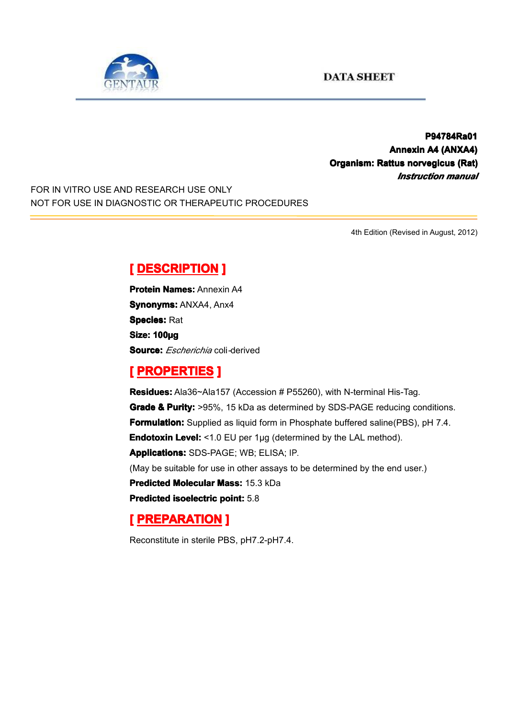

**P94784Ra01 P94784Ra01 Annexin A4 (ANXA4) Organism: Rattus norvegicus (Rat)** *Instruction manual*

FOR IN VITRO USE AND RESEARCH USE ONLY NOT FOR USE IN DIAGNOSTIC OR THERAPEUTIC PROCEDURES

4th Edition (Revised in August, 2012)

#### $[$  **DESCRIPTION** ]

**Protein Names: Annexin A4 Synonyms: ANXA4, Anx4 Species: Rat Size: 100µg Source:** *Escherichia* coli*-*derived

## **[ PROPERTIES ROPERTIES ]**

**Residues:** Ala36~Ala157 (Accession # P55260), with N-terminal His-Tag. **Grade & Purity: Purity:** >95%, 15 kDa as determined by SDS-PAGE reducing conditions. **Formulation:** Supplied as liquid form in Phosphate buffered saline(PBS), pH 7.4. **Endotoxin Level:** <1.0 EU per 1µg (determined by the LAL method). **Applications:** SDS-PAGE; WB; ELISA; IP. (May be suitable for use in other assays to be determined by the end user.) **Predicted Molecular Mass:** 15.3 kDa **Predicted Predicted[isoelectric](app:ds:  isoelectric point) isoelectricisoelectricisoelectric point:** 5.8

# **[ PREPARATION PREPARATION]**

Reconstitute in sterile PBS, pH7.2-pH7.4.